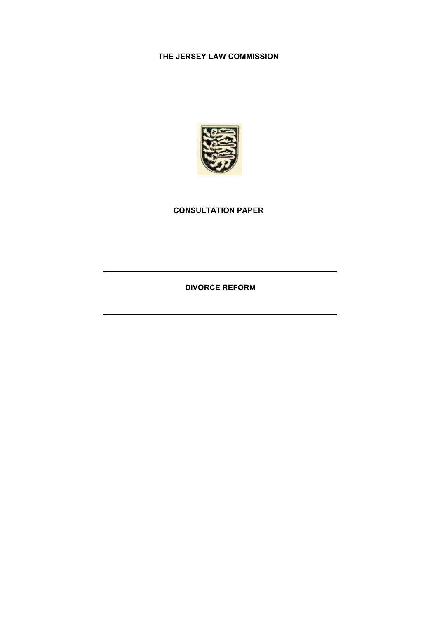## **THE JERSEY LAW COMMISSION**



## **CONSULTATION PAPER**

**DIVORCE REFORM**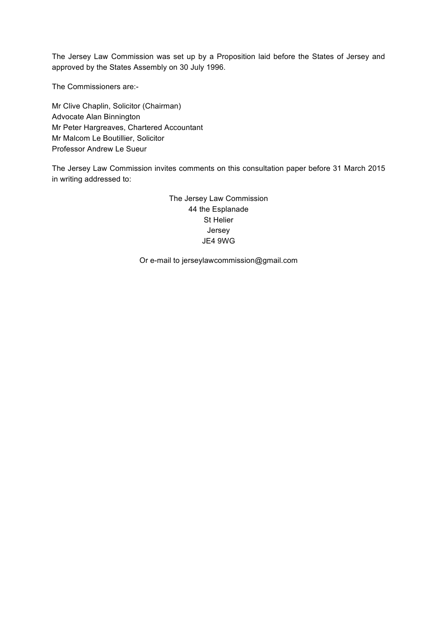The Jersey Law Commission was set up by a Proposition laid before the States of Jersey and approved by the States Assembly on 30 July 1996.

The Commissioners are:-

Mr Clive Chaplin, Solicitor (Chairman) Advocate Alan Binnington Mr Peter Hargreaves, Chartered Accountant Mr Malcom Le Boutillier, Solicitor Professor Andrew Le Sueur

The Jersey Law Commission invites comments on this consultation paper before 31 March 2015 in writing addressed to:

> The Jersey Law Commission 44 the Esplanade St Helier Jersey JE4 9WG

Or e-mail to jerseylawcommission@gmail.com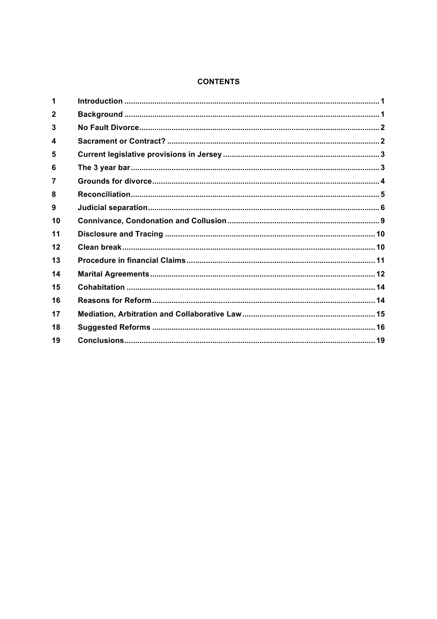## **CONTENTS**

| $\mathbf{2}$ |  |
|--------------|--|
| 3            |  |
| 4            |  |
| 5            |  |
| 6            |  |
|              |  |
| 8            |  |
| 9            |  |
| 10           |  |
| 11           |  |
| 12           |  |
| 13           |  |
| 14           |  |
| 15           |  |
| 16           |  |
| 17           |  |
| 18           |  |
| 19           |  |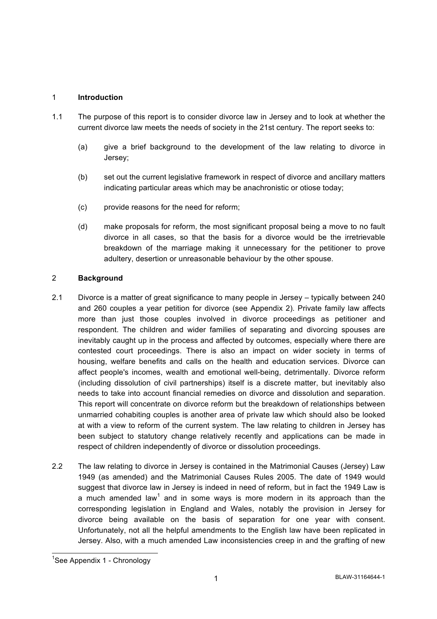## 1 **Introduction**

- 1.1 The purpose of this report is to consider divorce law in Jersey and to look at whether the current divorce law meets the needs of society in the 21st century. The report seeks to:
	- (a) give a brief background to the development of the law relating to divorce in Jersey;
	- (b) set out the current legislative framework in respect of divorce and ancillary matters indicating particular areas which may be anachronistic or otiose today;
	- (c) provide reasons for the need for reform;
	- (d) make proposals for reform, the most significant proposal being a move to no fault divorce in all cases, so that the basis for a divorce would be the irretrievable breakdown of the marriage making it unnecessary for the petitioner to prove adultery, desertion or unreasonable behaviour by the other spouse.

#### 2 **Background**

- 2.1 Divorce is a matter of great significance to many people in Jersey typically between 240 and 260 couples a year petition for divorce (see Appendix 2). Private family law affects more than just those couples involved in divorce proceedings as petitioner and respondent. The children and wider families of separating and divorcing spouses are inevitably caught up in the process and affected by outcomes, especially where there are contested court proceedings. There is also an impact on wider society in terms of housing, welfare benefits and calls on the health and education services. Divorce can affect people's incomes, wealth and emotional well-being, detrimentally. Divorce reform (including dissolution of civil partnerships) itself is a discrete matter, but inevitably also needs to take into account financial remedies on divorce and dissolution and separation. This report will concentrate on divorce reform but the breakdown of relationships between unmarried cohabiting couples is another area of private law which should also be looked at with a view to reform of the current system. The law relating to children in Jersey has been subject to statutory change relatively recently and applications can be made in respect of children independently of divorce or dissolution proceedings.
- 2.2 The law relating to divorce in Jersey is contained in the Matrimonial Causes (Jersey) Law 1949 (as amended) and the Matrimonial Causes Rules 2005. The date of 1949 would suggest that divorce law in Jersey is indeed in need of reform, but in fact the 1949 Law is a much amended law<sup>1</sup> and in some ways is more modern in its approach than the corresponding legislation in England and Wales, notably the provision in Jersey for divorce being available on the basis of separation for one year with consent. Unfortunately, not all the helpful amendments to the English law have been replicated in Jersey. Also, with a much amended Law inconsistencies creep in and the grafting of new

 <sup>1</sup> See Appendix 1 - Chronology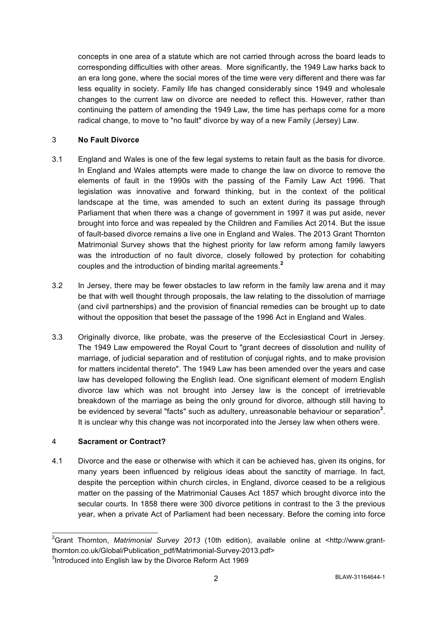concepts in one area of a statute which are not carried through across the board leads to corresponding difficulties with other areas. More significantly, the 1949 Law harks back to an era long gone, where the social mores of the time were very different and there was far less equality in society. Family life has changed considerably since 1949 and wholesale changes to the current law on divorce are needed to reflect this. However, rather than continuing the pattern of amending the 1949 Law, the time has perhaps come for a more radical change, to move to "no fault" divorce by way of a new Family (Jersey) Law.

## 3 **No Fault Divorce**

- 3.1 England and Wales is one of the few legal systems to retain fault as the basis for divorce. In England and Wales attempts were made to change the law on divorce to remove the elements of fault in the 1990s with the passing of the Family Law Act 1996. That legislation was innovative and forward thinking, but in the context of the political landscape at the time, was amended to such an extent during its passage through Parliament that when there was a change of government in 1997 it was put aside, never brought into force and was repealed by the Children and Families Act 2014. But the issue of fault-based divorce remains a live one in England and Wales. The 2013 Grant Thornton Matrimonial Survey shows that the highest priority for law reform among family lawyers was the introduction of no fault divorce, closely followed by protection for cohabiting couples and the introduction of binding marital agreements.**<sup>2</sup>**
- 3.2 In Jersey, there may be fewer obstacles to law reform in the family law arena and it may be that with well thought through proposals, the law relating to the dissolution of marriage (and civil partnerships) and the provision of financial remedies can be brought up to date without the opposition that beset the passage of the 1996 Act in England and Wales.
- 3.3 Originally divorce, like probate, was the preserve of the Ecclesiastical Court in Jersey. The 1949 Law empowered the Royal Court to "grant decrees of dissolution and nullity of marriage, of judicial separation and of restitution of conjugal rights, and to make provision for matters incidental thereto". The 1949 Law has been amended over the years and case law has developed following the English lead. One significant element of modern English divorce law which was not brought into Jersey law is the concept of irretrievable breakdown of the marriage as being the only ground for divorce, although still having to be evidenced by several "facts" such as adultery, unreasonable behaviour or separation<sup>3</sup>. It is unclear why this change was not incorporated into the Jersey law when others were.

## 4 **Sacrament or Contract?**

4.1 Divorce and the ease or otherwise with which it can be achieved has, given its origins, for many years been influenced by religious ideas about the sanctity of marriage. In fact, despite the perception within church circles, in England, divorce ceased to be a religious matter on the passing of the Matrimonial Causes Act 1857 which brought divorce into the secular courts. In 1858 there were 300 divorce petitions in contrast to the 3 the previous year, when a private Act of Parliament had been necessary. Before the coming into force

 <sup>2</sup> Grant Thornton, *Matrimonial Survey 2013* (10th edition), available online at <http://www.grantthornton.co.uk/Global/Publication\_pdf/Matrimonial-Survey-2013.pdf>

<sup>&</sup>lt;sup>3</sup>Introduced into English law by the Divorce Reform Act 1969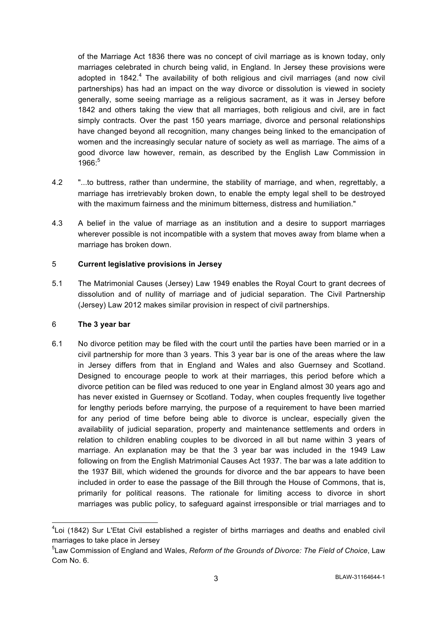of the Marriage Act 1836 there was no concept of civil marriage as is known today, only marriages celebrated in church being valid, in England. In Jersey these provisions were adopted in 1842.<sup>4</sup> The availability of both religious and civil marriages (and now civil partnerships) has had an impact on the way divorce or dissolution is viewed in society generally, some seeing marriage as a religious sacrament, as it was in Jersey before 1842 and others taking the view that all marriages, both religious and civil, are in fact simply contracts. Over the past 150 years marriage, divorce and personal relationships have changed beyond all recognition, many changes being linked to the emancipation of women and the increasingly secular nature of society as well as marriage. The aims of a good divorce law however, remain, as described by the English Law Commission in  $1966^{5}$ 

- 4.2 "...to buttress, rather than undermine, the stability of marriage, and when, regrettably, a marriage has irretrievably broken down, to enable the empty legal shell to be destroyed with the maximum fairness and the minimum bitterness, distress and humiliation."
- 4.3 A belief in the value of marriage as an institution and a desire to support marriages wherever possible is not incompatible with a system that moves away from blame when a marriage has broken down.

## 5 **Current legislative provisions in Jersey**

5.1 The Matrimonial Causes (Jersey) Law 1949 enables the Royal Court to grant decrees of dissolution and of nullity of marriage and of judicial separation. The Civil Partnership (Jersey) Law 2012 makes similar provision in respect of civil partnerships.

## 6 **The 3 year bar**

6.1 No divorce petition may be filed with the court until the parties have been married or in a civil partnership for more than 3 years. This 3 year bar is one of the areas where the law in Jersey differs from that in England and Wales and also Guernsey and Scotland. Designed to encourage people to work at their marriages, this period before which a divorce petition can be filed was reduced to one year in England almost 30 years ago and has never existed in Guernsey or Scotland. Today, when couples frequently live together for lengthy periods before marrying, the purpose of a requirement to have been married for any period of time before being able to divorce is unclear, especially given the availability of judicial separation, property and maintenance settlements and orders in relation to children enabling couples to be divorced in all but name within 3 years of marriage. An explanation may be that the 3 year bar was included in the 1949 Law following on from the English Matrimonial Causes Act 1937. The bar was a late addition to the 1937 Bill, which widened the grounds for divorce and the bar appears to have been included in order to ease the passage of the Bill through the House of Commons, that is, primarily for political reasons. The rationale for limiting access to divorce in short marriages was public policy, to safeguard against irresponsible or trial marriages and to

 <sup>4</sup> Loi (1842) Sur L'Etat Civil established a register of births marriages and deaths and enabled civil marriages to take place in Jersey

<sup>5</sup> Law Commission of England and Wales, *Reform of the Grounds of Divorce: The Field of Choice*, Law Com No. 6.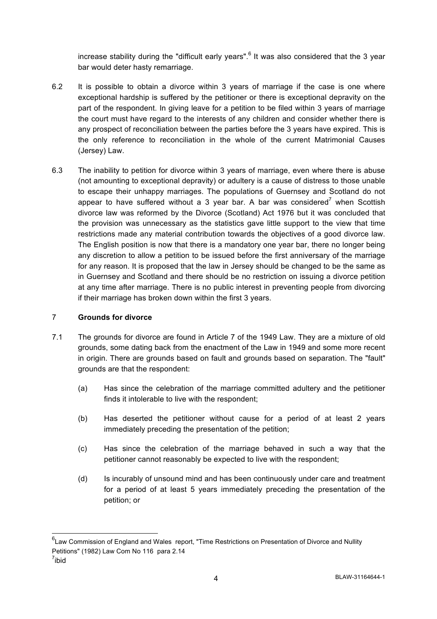increase stability during the "difficult early years". $6$  It was also considered that the 3 year bar would deter hasty remarriage.

- 6.2 It is possible to obtain a divorce within 3 years of marriage if the case is one where exceptional hardship is suffered by the petitioner or there is exceptional depravity on the part of the respondent. In giving leave for a petition to be filed within 3 years of marriage the court must have regard to the interests of any children and consider whether there is any prospect of reconciliation between the parties before the 3 years have expired. This is the only reference to reconciliation in the whole of the current Matrimonial Causes (Jersey) Law.
- 6.3 The inability to petition for divorce within 3 years of marriage, even where there is abuse (not amounting to exceptional depravity) or adultery is a cause of distress to those unable to escape their unhappy marriages. The populations of Guernsey and Scotland do not appear to have suffered without a 3 year bar. A bar was considered<sup>7</sup> when Scottish divorce law was reformed by the Divorce (Scotland) Act 1976 but it was concluded that the provision was unnecessary as the statistics gave little support to the view that time restrictions made any material contribution towards the objectives of a good divorce law. The English position is now that there is a mandatory one year bar, there no longer being any discretion to allow a petition to be issued before the first anniversary of the marriage for any reason. It is proposed that the law in Jersey should be changed to be the same as in Guernsey and Scotland and there should be no restriction on issuing a divorce petition at any time after marriage. There is no public interest in preventing people from divorcing if their marriage has broken down within the first 3 years.

## 7 **Grounds for divorce**

- 7.1 The grounds for divorce are found in Article 7 of the 1949 Law. They are a mixture of old grounds, some dating back from the enactment of the Law in 1949 and some more recent in origin. There are grounds based on fault and grounds based on separation. The "fault" grounds are that the respondent:
	- (a) Has since the celebration of the marriage committed adultery and the petitioner finds it intolerable to live with the respondent;
	- (b) Has deserted the petitioner without cause for a period of at least 2 years immediately preceding the presentation of the petition;
	- (c) Has since the celebration of the marriage behaved in such a way that the petitioner cannot reasonably be expected to live with the respondent;
	- (d) Is incurably of unsound mind and has been continuously under care and treatment for a period of at least 5 years immediately preceding the presentation of the petition; or

 <sup>6</sup> Law Commission of England and Wales report, "Time Restrictions on Presentation of Divorce and Nullity Petitions" (1982) Law Com No 116 para 2.14 <sup>7</sup>ibid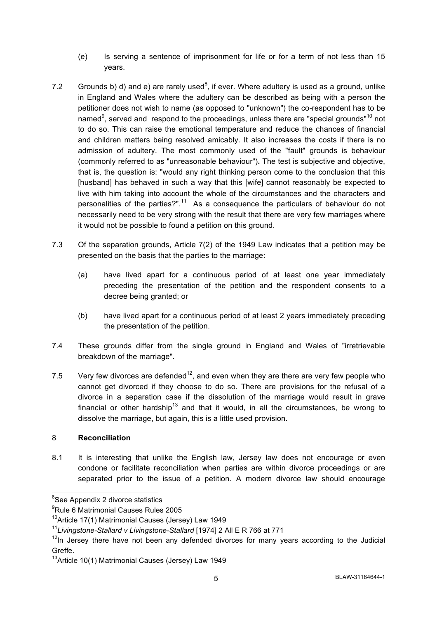- (e) Is serving a sentence of imprisonment for life or for a term of not less than 15 years.
- 7.2 Grounds b) d) and e) are rarely used<sup>8</sup>, if ever. Where adultery is used as a ground, unlike in England and Wales where the adultery can be described as being with a person the petitioner does not wish to name (as opposed to "unknown") the co-respondent has to be named<sup>9</sup>, served and respond to the proceedings, unless there are "special grounds"<sup>10</sup> not to do so. This can raise the emotional temperature and reduce the chances of financial and children matters being resolved amicably. It also increases the costs if there is no admission of adultery. The most commonly used of the "fault" grounds is behaviour (commonly referred to as "unreasonable behaviour")**.** The test is subjective and objective, that is, the question is: "would any right thinking person come to the conclusion that this [husband] has behaved in such a way that this [wife] cannot reasonably be expected to live with him taking into account the whole of the circumstances and the characters and personalities of the parties?". $11$  As a consequence the particulars of behaviour do not necessarily need to be very strong with the result that there are very few marriages where it would not be possible to found a petition on this ground.
- 7.3 Of the separation grounds, Article 7(2) of the 1949 Law indicates that a petition may be presented on the basis that the parties to the marriage:
	- (a) have lived apart for a continuous period of at least one year immediately preceding the presentation of the petition and the respondent consents to a decree being granted; or
	- (b) have lived apart for a continuous period of at least 2 years immediately preceding the presentation of the petition.
- 7.4 These grounds differ from the single ground in England and Wales of "irretrievable breakdown of the marriage".
- 7.5 Very few divorces are defended<sup>12</sup>, and even when they are there are very few people who cannot get divorced if they choose to do so. There are provisions for the refusal of a divorce in a separation case if the dissolution of the marriage would result in grave financial or other hardship<sup>13</sup> and that it would, in all the circumstances, be wrong to dissolve the marriage, but again, this is a little used provision.

## 8 **Reconciliation**

8.1 It is interesting that unlike the English law, Jersey law does not encourage or even condone or facilitate reconciliation when parties are within divorce proceedings or are separated prior to the issue of a petition. A modern divorce law should encourage

<sup>&</sup>lt;u>essee</u><br>
See Appendix 2 divorce statistics

<sup>9</sup> Rule 6 Matrimonial Causes Rules 2005

<sup>&</sup>lt;sup>10</sup>Article 17(1) Matrimonial Causes (Jersey) Law 1949

<sup>11</sup>*Livingstone-Stallard v Livingstone-Stallard* [1974] 2 All E R 766 at 771

 $12$ In Jersey there have not been any defended divorces for many years according to the Judicial Greffe.

<sup>&</sup>lt;sup>13</sup>Article 10(1) Matrimonial Causes (Jersey) Law 1949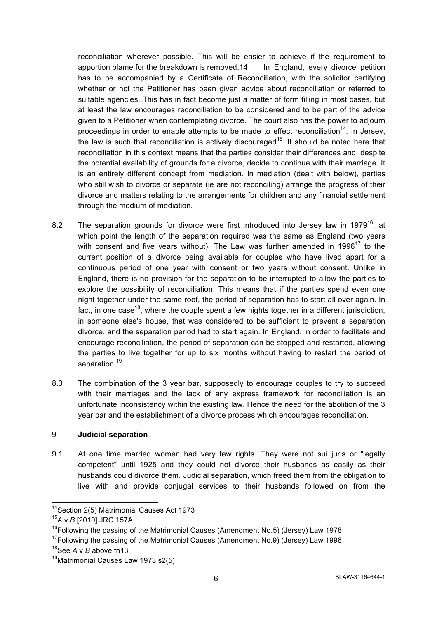reconciliation wherever possible. This will be easier to achieve if the requirement to apportion blame for the breakdown is removed.14 In England, every divorce petition has to be accompanied by a Certificate of Reconciliation, with the solicitor certifying whether or not the Petitioner has been given advice about reconciliation or referred to suitable agencies. This has in fact become just a matter of form filling in most cases, but at least the law encourages reconciliation to be considered and to be part of the advice given to a Petitioner when contemplating divorce. The court also has the power to adjourn proceedings in order to enable attempts to be made to effect reconciliation<sup>14</sup>. In Jersey, the law is such that reconciliation is actively discouraged<sup>15</sup>. It should be noted here that reconciliation in this context means that the parties consider their differences and, despite the potential availability of grounds for a divorce, decide to continue with their marriage. It is an entirely different concept from mediation. In mediation (dealt with below), parties who still wish to divorce or separate (ie are not reconciling) arrange the progress of their divorce and matters relating to the arrangements for children and any financial settlement through the medium of mediation.

- 8.2 The separation grounds for divorce were first introduced into Jersey law in 1979<sup>16</sup>, at which point the length of the separation required was the same as England (two years with consent and five years without). The Law was further amended in 1996<sup>17</sup> to the current position of a divorce being available for couples who have lived apart for a continuous period of one year with consent or two years without consent. Unlike in England, there is no provision for the separation to be interrupted to allow the parties to explore the possibility of reconciliation. This means that if the parties spend even one night together under the same roof, the period of separation has to start all over again. In fact, in one case<sup>18</sup>, where the couple spent a few nights together in a different jurisdiction, in someone else's house, that was considered to be sufficient to prevent a separation divorce, and the separation period had to start again. In England, in order to facilitate and encourage reconciliation, the period of separation can be stopped and restarted, allowing the parties to live together for up to six months without having to restart the period of separation.<sup>19</sup>
- 8.3 The combination of the 3 year bar, supposedly to encourage couples to try to succeed with their marriages and the lack of any express framework for reconciliation is an unfortunate inconsistency within the existing law. Hence the need for the abolition of the 3 year bar and the establishment of a divorce process which encourages reconciliation.

#### 9 **Judicial separation**

9.1 At one time married women had very few rights. They were not sui juris or "legally competent" until 1925 and they could not divorce their husbands as easily as their husbands could divorce them. Judicial separation, which freed them from the obligation to live with and provide conjugal services to their husbands followed on from the

18See *A* v *B* above fn13

 <sup>14</sup>Section 2(5) Matrimonial Causes Act 1973

<sup>15</sup>*A* v *B* [2010] JRC 157A

 $16$ Following the passing of the Matrimonial Causes (Amendment No.5) (Jersey) Law 1978

 $17$ Following the passing of the Matrimonial Causes (Amendment No.9) (Jersey) Law 1996

<sup>&</sup>lt;sup>19</sup>Matrimonial Causes Law 1973 s2(5)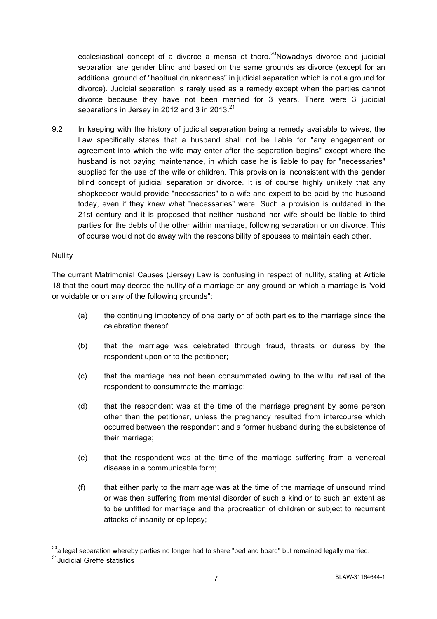ecclesiastical concept of a divorce a mensa et thoro.<sup>20</sup>Nowadays divorce and judicial separation are gender blind and based on the same grounds as divorce (except for an additional ground of "habitual drunkenness" in judicial separation which is not a ground for divorce). Judicial separation is rarely used as a remedy except when the parties cannot divorce because they have not been married for 3 years. There were 3 judicial separations in Jersey in 2012 and 3 in 2013.<sup>21</sup>

9.2 In keeping with the history of judicial separation being a remedy available to wives, the Law specifically states that a husband shall not be liable for "any engagement or agreement into which the wife may enter after the separation begins" except where the husband is not paying maintenance, in which case he is liable to pay for "necessaries" supplied for the use of the wife or children. This provision is inconsistent with the gender blind concept of judicial separation or divorce. It is of course highly unlikely that any shopkeeper would provide "necessaries" to a wife and expect to be paid by the husband today, even if they knew what "necessaries" were. Such a provision is outdated in the 21st century and it is proposed that neither husband nor wife should be liable to third parties for the debts of the other within marriage, following separation or on divorce. This of course would not do away with the responsibility of spouses to maintain each other.

#### Nullity

The current Matrimonial Causes (Jersey) Law is confusing in respect of nullity, stating at Article 18 that the court may decree the nullity of a marriage on any ground on which a marriage is "void or voidable or on any of the following grounds":

- (a) the continuing impotency of one party or of both parties to the marriage since the celebration thereof;
- (b) that the marriage was celebrated through fraud, threats or duress by the respondent upon or to the petitioner;
- (c) that the marriage has not been consummated owing to the wilful refusal of the respondent to consummate the marriage;
- (d) that the respondent was at the time of the marriage pregnant by some person other than the petitioner, unless the pregnancy resulted from intercourse which occurred between the respondent and a former husband during the subsistence of their marriage;
- (e) that the respondent was at the time of the marriage suffering from a venereal disease in a communicable form;
- (f) that either party to the marriage was at the time of the marriage of unsound mind or was then suffering from mental disorder of such a kind or to such an extent as to be unfitted for marriage and the procreation of children or subject to recurrent attacks of insanity or epilepsy;

 $^{20}$ a legal separation whereby parties no longer had to share "bed and board" but remained legally married.

<sup>21</sup>Judicial Greffe statistics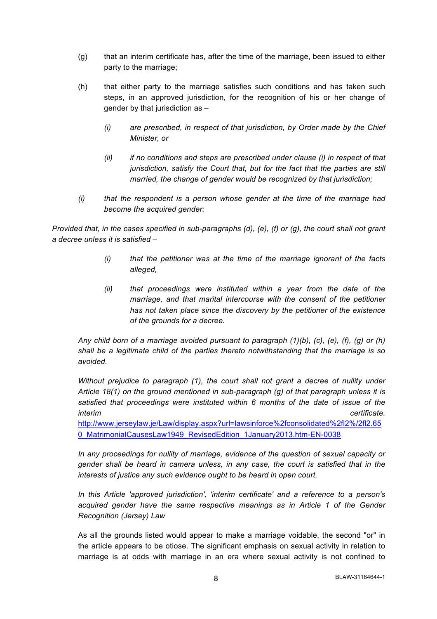- (g) that an interim certificate has, after the time of the marriage, been issued to either party to the marriage;
- (h) that either party to the marriage satisfies such conditions and has taken such steps, in an approved jurisdiction, for the recognition of his or her change of gender by that jurisdiction as –
	- *(i) are prescribed, in respect of that jurisdiction, by Order made by the Chief Minister, or*
	- *(ii) if no conditions and steps are prescribed under clause (i) in respect of that jurisdiction, satisfy the Court that, but for the fact that the parties are still married, the change of gender would be recognized by that jurisdiction;*
- *(i) that the respondent is a person whose gender at the time of the marriage had become the acquired gender:*

*Provided that, in the cases specified in sub-paragraphs (d), (e), (f) or (g), the court shall not grant a decree unless it is satisfied –*

- *(i) that the petitioner was at the time of the marriage ignorant of the facts alleged,*
- *(ii) that proceedings were instituted within a year from the date of the marriage, and that marital intercourse with the consent of the petitioner has not taken place since the discovery by the petitioner of the existence of the grounds for a decree.*

*Any child born of a marriage avoided pursuant to paragraph (1)(b), (c), (e), (f), (g) or (h) shall be a legitimate child of the parties thereto notwithstanding that the marriage is so avoided.*

*Without prejudice to paragraph (1), the court shall not grant a decree of nullity under Article 18(1) on the ground mentioned in sub-paragraph (g) of that paragraph unless it is satisfied that proceedings were instituted within 6 months of the date of issue of the interim certificate.*

http://www.jerseylaw.je/Law/display.aspx?url=lawsinforce%2fconsolidated%2fl2%/2fl2.65 0\_MatrimonialCausesLaw1949\_RevisedEdition\_1January2013.htm-EN-0038

*In any proceedings for nullity of marriage, evidence of the question of sexual capacity or gender shall be heard in camera unless, in any case, the court is satisfied that in the interests of justice any such evidence ought to be heard in open court.*

*In this Article 'approved jurisdiction', 'interim certificate' and a reference to a person's acquired gender have the same respective meanings as in Article 1 of the Gender Recognition (Jersey) Law*

As all the grounds listed would appear to make a marriage voidable, the second "or" in the article appears to be otiose. The significant emphasis on sexual activity in relation to marriage is at odds with marriage in an era where sexual activity is not confined to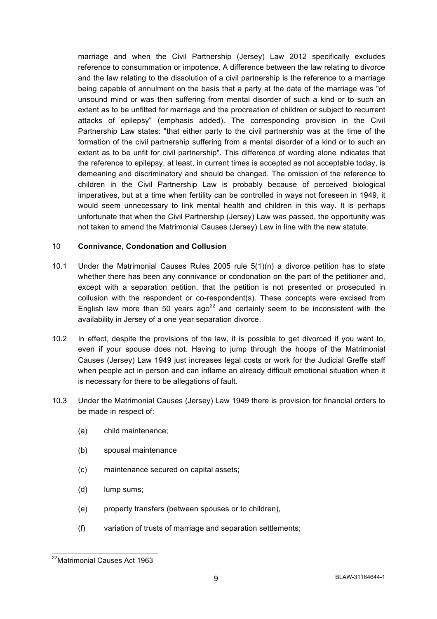marriage and when the Civil Partnership (Jersey) Law 2012 specifically excludes reference to consummation or impotence. A difference between the law relating to divorce and the law relating to the dissolution of a civil partnership is the reference to a marriage being capable of annulment on the basis that a party at the date of the marriage was "of unsound mind or was then suffering from mental disorder of such a kind or to such an extent as to be unfitted for marriage and the procreation of children or subject to recurrent attacks of epilepsy" (emphasis added). The corresponding provision in the Civil Partnership Law states: "that either party to the civil partnership was at the time of the formation of the civil partnership suffering from a mental disorder of a kind or to such an extent as to be unfit for civil partnership". This difference of wording alone indicates that the reference to epilepsy, at least, in current times is accepted as not acceptable today, is demeaning and discriminatory and should be changed. The omission of the reference to children in the Civil Partnership Law is probably because of perceived biological imperatives, but at a time when fertility can be controlled in ways not foreseen in 1949, it would seem unnecessary to link mental health and children in this way. It is perhaps unfortunate that when the Civil Partnership (Jersey) Law was passed, the opportunity was not taken to amend the Matrimonial Causes (Jersey) Law in line with the new statute.

#### 10 **Connivance, Condonation and Collusion**

- 10.1 Under the Matrimonial Causes Rules 2005 rule 5(1)(n) a divorce petition has to state whether there has been any connivance or condonation on the part of the petitioner and, except with a separation petition, that the petition is not presented or prosecuted in collusion with the respondent or co-respondent(s). These concepts were excised from English law more than 50 years ago<sup>22</sup> and certainly seem to be inconsistent with the availability in Jersey of a one year separation divorce.
- 10.2 In effect, despite the provisions of the law, it is possible to get divorced if you want to, even if your spouse does not. Having to jump through the hoops of the Matrimonial Causes (Jersey) Law 1949 just increases legal costs or work for the Judicial Greffe staff when people act in person and can inflame an already difficult emotional situation when it is necessary for there to be allegations of fault.
- 10.3 Under the Matrimonial Causes (Jersey) Law 1949 there is provision for financial orders to be made in respect of:
	- (a) child maintenance;
	- (b) spousal maintenance
	- (c) maintenance secured on capital assets;
	- (d) lump sums;
	- (e) property transfers (between spouses or to children),
	- (f) variation of trusts of marriage and separation settlements;

 <sup>22</sup>Matrimonial Causes Act 1963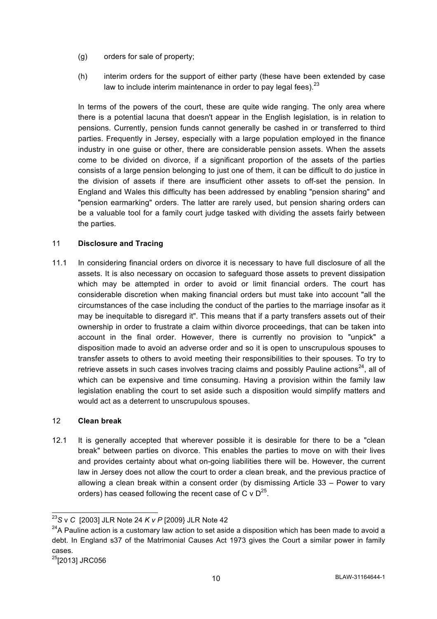- (g) orders for sale of property;
- (h) interim orders for the support of either party (these have been extended by case law to include interim maintenance in order to pay legal fees). $23$

In terms of the powers of the court, these are quite wide ranging. The only area where there is a potential lacuna that doesn't appear in the English legislation, is in relation to pensions. Currently, pension funds cannot generally be cashed in or transferred to third parties. Frequently in Jersey, especially with a large population employed in the finance industry in one guise or other, there are considerable pension assets. When the assets come to be divided on divorce, if a significant proportion of the assets of the parties consists of a large pension belonging to just one of them, it can be difficult to do justice in the division of assets if there are insufficient other assets to off-set the pension. In England and Wales this difficulty has been addressed by enabling "pension sharing" and "pension earmarking" orders. The latter are rarely used, but pension sharing orders can be a valuable tool for a family court judge tasked with dividing the assets fairly between the parties.

## 11 **Disclosure and Tracing**

11.1 In considering financial orders on divorce it is necessary to have full disclosure of all the assets. It is also necessary on occasion to safeguard those assets to prevent dissipation which may be attempted in order to avoid or limit financial orders. The court has considerable discretion when making financial orders but must take into account "all the circumstances of the case including the conduct of the parties to the marriage insofar as it may be inequitable to disregard it". This means that if a party transfers assets out of their ownership in order to frustrate a claim within divorce proceedings, that can be taken into account in the final order. However, there is currently no provision to "unpick" a disposition made to avoid an adverse order and so it is open to unscrupulous spouses to transfer assets to others to avoid meeting their responsibilities to their spouses. To try to retrieve assets in such cases involves tracing claims and possibly Pauline actions $^{24}$ . all of which can be expensive and time consuming. Having a provision within the family law legislation enabling the court to set aside such a disposition would simplify matters and would act as a deterrent to unscrupulous spouses.

#### 12 **Clean break**

12.1 It is generally accepted that wherever possible it is desirable for there to be a "clean break" between parties on divorce. This enables the parties to move on with their lives and provides certainty about what on-going liabilities there will be. However, the current law in Jersey does not allow the court to order a clean break, and the previous practice of allowing a clean break within a consent order (by dismissing Article 33 – Power to vary orders) has ceased following the recent case of C  $\vee$  D<sup>25</sup>.

 <sup>23</sup>*<sup>S</sup>* <sup>v</sup>*C* [2003] JLR Note 24 *K v P* [2009} JLR Note 42

 $24A$  Pauline action is a customary law action to set aside a disposition which has been made to avoid a debt. In England s37 of the Matrimonial Causes Act 1973 gives the Court a similar power in family cases.

<sup>&</sup>lt;sup>25</sup>[2013] JRC056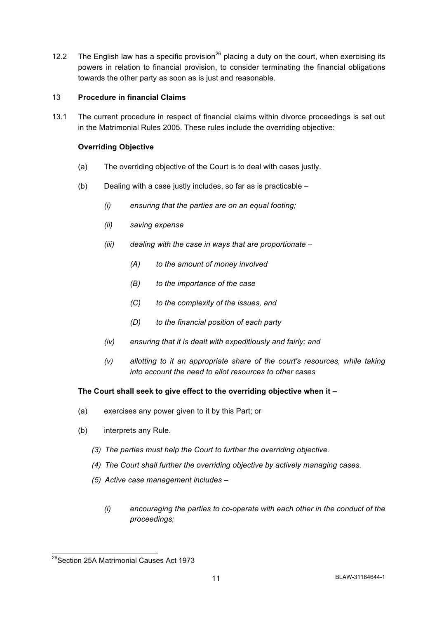12.2 The English law has a specific provision<sup>26</sup> placing a duty on the court, when exercising its powers in relation to financial provision, to consider terminating the financial obligations towards the other party as soon as is just and reasonable.

#### 13 **Procedure in financial Claims**

13.1 The current procedure in respect of financial claims within divorce proceedings is set out in the Matrimonial Rules 2005. These rules include the overriding objective:

#### **Overriding Objective**

- (a) The overriding objective of the Court is to deal with cases justly.
- (b) Dealing with a case justly includes, so far as is practicable
	- *(i) ensuring that the parties are on an equal footing;*
	- *(ii) saving expense*
	- *(iii) dealing with the case in ways that are proportionate –*
		- *(A) to the amount of money involved*
		- *(B) to the importance of the case*
		- *(C) to the complexity of the issues, and*
		- *(D) to the financial position of each party*
	- *(iv) ensuring that it is dealt with expeditiously and fairly; and*
	- *(v) allotting to it an appropriate share of the court's resources, while taking into account the need to allot resources to other cases*

#### **The Court shall seek to give effect to the overriding objective when it –**

- (a) exercises any power given to it by this Part; or
- (b) interprets any Rule.
	- *(3) The parties must help the Court to further the overriding objective.*
	- *(4) The Court shall further the overriding objective by actively managing cases.*
	- *(5) Active case management includes –*
		- *(i) encouraging the parties to co-operate with each other in the conduct of the proceedings;*

<sup>&</sup>lt;sup>26</sup>Section 25A Matrimonial Causes Act 1973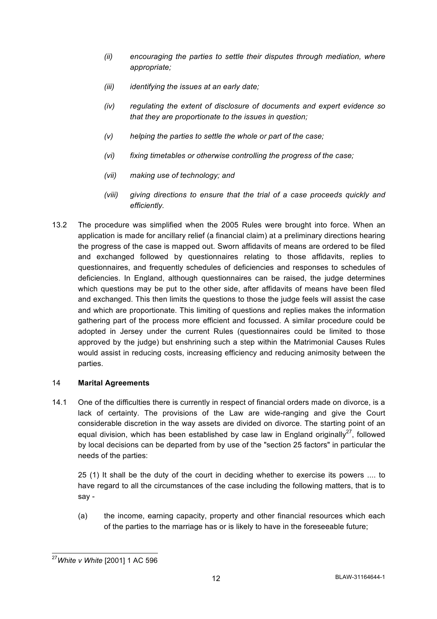- *(ii) encouraging the parties to settle their disputes through mediation, where appropriate;*
- *(iii) identifying the issues at an early date;*
- *(iv) regulating the extent of disclosure of documents and expert evidence so that they are proportionate to the issues in question;*
- *(v) helping the parties to settle the whole or part of the case;*
- *(vi) fixing timetables or otherwise controlling the progress of the case;*
- *(vii) making use of technology; and*
- *(viii) giving directions to ensure that the trial of a case proceeds quickly and efficiently.*
- 13.2 The procedure was simplified when the 2005 Rules were brought into force. When an application is made for ancillary relief (a financial claim) at a preliminary directions hearing the progress of the case is mapped out. Sworn affidavits of means are ordered to be filed and exchanged followed by questionnaires relating to those affidavits, replies to questionnaires, and frequently schedules of deficiencies and responses to schedules of deficiencies. In England, although questionnaires can be raised, the judge determines which questions may be put to the other side, after affidavits of means have been filed and exchanged. This then limits the questions to those the judge feels will assist the case and which are proportionate. This limiting of questions and replies makes the information gathering part of the process more efficient and focussed. A similar procedure could be adopted in Jersey under the current Rules (questionnaires could be limited to those approved by the judge) but enshrining such a step within the Matrimonial Causes Rules would assist in reducing costs, increasing efficiency and reducing animosity between the parties.

## 14 **Marital Agreements**

14.1 One of the difficulties there is currently in respect of financial orders made on divorce, is a lack of certainty. The provisions of the Law are wide-ranging and give the Court considerable discretion in the way assets are divided on divorce. The starting point of an equal division, which has been established by case law in England originally<sup>27</sup>, followed by local decisions can be departed from by use of the "section 25 factors" in particular the needs of the parties:

25 (1) It shall be the duty of the court in deciding whether to exercise its powers .... to have regard to all the circumstances of the case including the following matters, that is to say -

(a) the income, earning capacity, property and other financial resources which each of the parties to the marriage has or is likely to have in the foreseeable future;

 <sup>27</sup>*White v White* [2001] 1 AC 596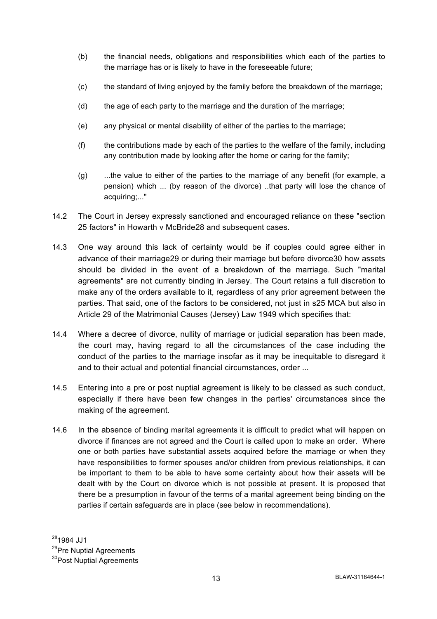- (b) the financial needs, obligations and responsibilities which each of the parties to the marriage has or is likely to have in the foreseeable future;
- (c) the standard of living enjoyed by the family before the breakdown of the marriage;
- (d) the age of each party to the marriage and the duration of the marriage;
- (e) any physical or mental disability of either of the parties to the marriage;
- (f) the contributions made by each of the parties to the welfare of the family, including any contribution made by looking after the home or caring for the family;
- (g) ...the value to either of the parties to the marriage of any benefit (for example, a pension) which ... (by reason of the divorce) ..that party will lose the chance of acquiring;..."
- 14.2 The Court in Jersey expressly sanctioned and encouraged reliance on these "section 25 factors" in Howarth v McBride28 and subsequent cases.
- 14.3 One way around this lack of certainty would be if couples could agree either in advance of their marriage29 or during their marriage but before divorce30 how assets should be divided in the event of a breakdown of the marriage. Such "marital agreements" are not currently binding in Jersey. The Court retains a full discretion to make any of the orders available to it, regardless of any prior agreement between the parties. That said, one of the factors to be considered, not just in s25 MCA but also in Article 29 of the Matrimonial Causes (Jersey) Law 1949 which specifies that:
- 14.4 Where a decree of divorce, nullity of marriage or judicial separation has been made, the court may, having regard to all the circumstances of the case including the conduct of the parties to the marriage insofar as it may be inequitable to disregard it and to their actual and potential financial circumstances, order ...
- 14.5 Entering into a pre or post nuptial agreement is likely to be classed as such conduct, especially if there have been few changes in the parties' circumstances since the making of the agreement.
- 14.6 In the absence of binding marital agreements it is difficult to predict what will happen on divorce if finances are not agreed and the Court is called upon to make an order. Where one or both parties have substantial assets acquired before the marriage or when they have responsibilities to former spouses and/or children from previous relationships, it can be important to them to be able to have some certainty about how their assets will be dealt with by the Court on divorce which is not possible at present. It is proposed that there be a presumption in favour of the terms of a marital agreement being binding on the parties if certain safeguards are in place (see below in recommendations).

 <sup>281984</sup> JJ1

<sup>&</sup>lt;sup>29</sup>Pre Nuptial Agreements

<sup>&</sup>lt;sup>30</sup>Post Nuptial Agreements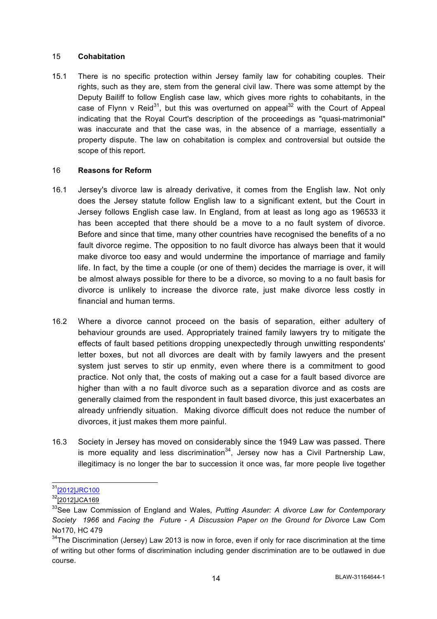#### 15 **Cohabitation**

15.1 There is no specific protection within Jersey family law for cohabiting couples. Their rights, such as they are, stem from the general civil law. There was some attempt by the Deputy Bailiff to follow English case law, which gives more rights to cohabitants, in the case of Flynn v Reid<sup>31</sup>, but this was overturned on appeal<sup>32</sup> with the Court of Appeal indicating that the Royal Court's description of the proceedings as "quasi-matrimonial" was inaccurate and that the case was, in the absence of a marriage, essentially a property dispute. The law on cohabitation is complex and controversial but outside the scope of this report.

#### 16 **Reasons for Reform**

- 16.1 Jersey's divorce law is already derivative, it comes from the English law. Not only does the Jersey statute follow English law to a significant extent, but the Court in Jersey follows English case law. In England, from at least as long ago as 196533 it has been accepted that there should be a move to a no fault system of divorce. Before and since that time, many other countries have recognised the benefits of a no fault divorce regime. The opposition to no fault divorce has always been that it would make divorce too easy and would undermine the importance of marriage and family life. In fact, by the time a couple (or one of them) decides the marriage is over, it will be almost always possible for there to be a divorce, so moving to a no fault basis for divorce is unlikely to increase the divorce rate, just make divorce less costly in financial and human terms.
- 16.2 Where a divorce cannot proceed on the basis of separation, either adultery of behaviour grounds are used. Appropriately trained family lawyers try to mitigate the effects of fault based petitions dropping unexpectedly through unwitting respondents' letter boxes, but not all divorces are dealt with by family lawyers and the present system just serves to stir up enmity, even where there is a commitment to good practice. Not only that, the costs of making out a case for a fault based divorce are higher than with a no fault divorce such as a separation divorce and as costs are generally claimed from the respondent in fault based divorce, this just exacerbates an already unfriendly situation. Making divorce difficult does not reduce the number of divorces, it just makes them more painful.
- 16.3 Society in Jersey has moved on considerably since the 1949 Law was passed. There is more equality and less discrimination<sup>34</sup>, Jersey now has a Civil Partnership Law, illegitimacy is no longer the bar to succession it once was, far more people live together

<sup>31&</sup>lt;sub>[2012]JRC100</sub>

<sup>32[2012]</sup>JCA169

<sup>33</sup>See Law Commission of England and Wales, *Putting Asunder: A divorce Law for Contemporary Society 1966* and *Facing the Future - A Discussion Paper on the Ground for Divorce* Law Com No170, HC 479

 $34$ The Discrimination (Jersey) Law 2013 is now in force, even if only for race discrimination at the time of writing but other forms of discrimination including gender discrimination are to be outlawed in due course.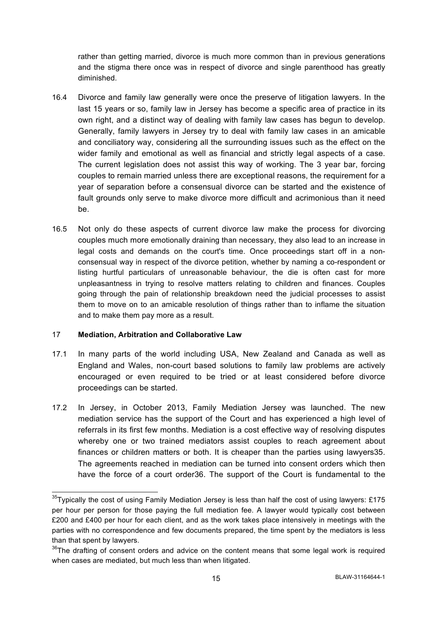rather than getting married, divorce is much more common than in previous generations and the stigma there once was in respect of divorce and single parenthood has greatly diminished.

- 16.4 Divorce and family law generally were once the preserve of litigation lawyers. In the last 15 years or so, family law in Jersey has become a specific area of practice in its own right, and a distinct way of dealing with family law cases has begun to develop. Generally, family lawyers in Jersey try to deal with family law cases in an amicable and conciliatory way, considering all the surrounding issues such as the effect on the wider family and emotional as well as financial and strictly legal aspects of a case. The current legislation does not assist this way of working. The 3 year bar, forcing couples to remain married unless there are exceptional reasons, the requirement for a year of separation before a consensual divorce can be started and the existence of fault grounds only serve to make divorce more difficult and acrimonious than it need be.
- 16.5 Not only do these aspects of current divorce law make the process for divorcing couples much more emotionally draining than necessary, they also lead to an increase in legal costs and demands on the court's time. Once proceedings start off in a nonconsensual way in respect of the divorce petition, whether by naming a co-respondent or listing hurtful particulars of unreasonable behaviour, the die is often cast for more unpleasantness in trying to resolve matters relating to children and finances. Couples going through the pain of relationship breakdown need the judicial processes to assist them to move on to an amicable resolution of things rather than to inflame the situation and to make them pay more as a result.

## 17 **Mediation, Arbitration and Collaborative Law**

- 17.1 In many parts of the world including USA, New Zealand and Canada as well as England and Wales, non-court based solutions to family law problems are actively encouraged or even required to be tried or at least considered before divorce proceedings can be started.
- 17.2 In Jersey, in October 2013, Family Mediation Jersey was launched. The new mediation service has the support of the Court and has experienced a high level of referrals in its first few months. Mediation is a cost effective way of resolving disputes whereby one or two trained mediators assist couples to reach agreement about finances or children matters or both. It is cheaper than the parties using lawyers35. The agreements reached in mediation can be turned into consent orders which then have the force of a court order36. The support of the Court is fundamental to the

 $35$ Tvpically the cost of using Family Mediation Jersey is less than half the cost of using lawyers: £175 per hour per person for those paying the full mediation fee. A lawyer would typically cost between £200 and £400 per hour for each client, and as the work takes place intensively in meetings with the parties with no correspondence and few documents prepared, the time spent by the mediators is less than that spent by lawyers.

 $36$ The drafting of consent orders and advice on the content means that some legal work is required when cases are mediated, but much less than when litigated.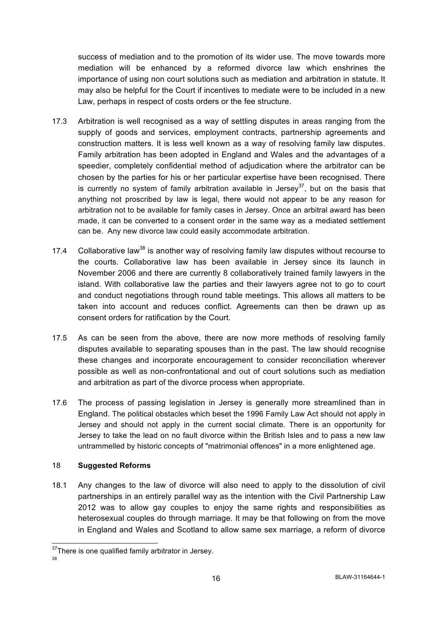success of mediation and to the promotion of its wider use. The move towards more mediation will be enhanced by a reformed divorce law which enshrines the importance of using non court solutions such as mediation and arbitration in statute. It may also be helpful for the Court if incentives to mediate were to be included in a new Law, perhaps in respect of costs orders or the fee structure.

- 17.3 Arbitration is well recognised as a way of settling disputes in areas ranging from the supply of goods and services, employment contracts, partnership agreements and construction matters. It is less well known as a way of resolving family law disputes. Family arbitration has been adopted in England and Wales and the advantages of a speedier, completely confidential method of adjudication where the arbitrator can be chosen by the parties for his or her particular expertise have been recognised. There is currently no system of family arbitration available in Jersey<sup>37</sup>, but on the basis that anything not proscribed by law is legal, there would not appear to be any reason for arbitration not to be available for family cases in Jersey. Once an arbitral award has been made, it can be converted to a consent order in the same way as a mediated settlement can be. Any new divorce law could easily accommodate arbitration.
- 17.4 Collaborative law<sup>38</sup> is another way of resolving family law disputes without recourse to the courts. Collaborative law has been available in Jersey since its launch in November 2006 and there are currently 8 collaboratively trained family lawyers in the island. With collaborative law the parties and their lawyers agree not to go to court and conduct negotiations through round table meetings. This allows all matters to be taken into account and reduces conflict. Agreements can then be drawn up as consent orders for ratification by the Court.
- 17.5 As can be seen from the above, there are now more methods of resolving family disputes available to separating spouses than in the past. The law should recognise these changes and incorporate encouragement to consider reconciliation wherever possible as well as non-confrontational and out of court solutions such as mediation and arbitration as part of the divorce process when appropriate.
- 17.6 The process of passing legislation in Jersey is generally more streamlined than in England. The political obstacles which beset the 1996 Family Law Act should not apply in Jersey and should not apply in the current social climate. There is an opportunity for Jersey to take the lead on no fault divorce within the British Isles and to pass a new law untrammelled by historic concepts of "matrimonial offences" in a more enlightened age.

## 18 **Suggested Reforms**

18.1 Any changes to the law of divorce will also need to apply to the dissolution of civil partnerships in an entirely parallel way as the intention with the Civil Partnership Law 2012 was to allow gay couples to enjoy the same rights and responsibilities as heterosexual couples do through marriage. It may be that following on from the move in England and Wales and Scotland to allow same sex marriage, a reform of divorce

<sup>&</sup>lt;sup>37</sup>There is one qualified family arbitrator in Jersey.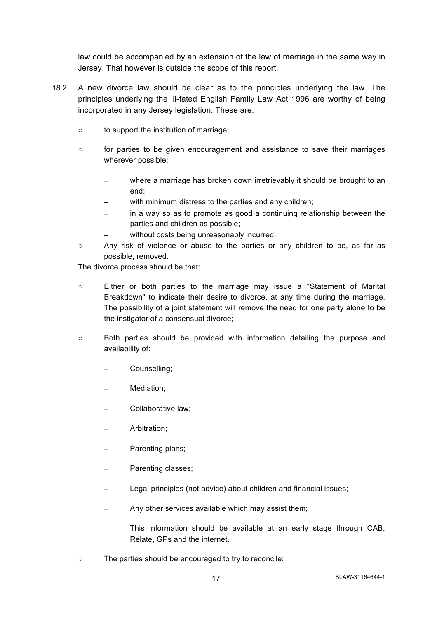law could be accompanied by an extension of the law of marriage in the same way in Jersey. That however is outside the scope of this report.

- 18.2 A new divorce law should be clear as to the principles underlying the law. The principles underlying the ill-fated English Family Law Act 1996 are worthy of being incorporated in any Jersey legislation. These are:
	- to support the institution of marriage;
	- for parties to be given encouragement and assistance to save their marriages wherever possible;
		- where a marriage has broken down irretrievably it should be brought to an end:
		- with minimum distress to the parties and any children;
		- in a way so as to promote as good a continuing relationship between the parties and children as possible;
		- without costs being unreasonably incurred.
	- Any risk of violence or abuse to the parties or any children to be, as far as possible, removed.

The divorce process should be that:

- Either or both parties to the marriage may issue a "Statement of Marital Breakdown" to indicate their desire to divorce, at any time during the marriage. The possibility of a joint statement will remove the need for one party alone to be the instigator of a consensual divorce;
- Both parties should be provided with information detailing the purpose and availability of:
	- − Counselling;
	- − Mediation;
	- − Collaborative law;
	- − Arbitration;
	- − Parenting plans;
	- − Parenting classes;
	- Legal principles (not advice) about children and financial issues;
	- Any other services available which may assist them;
	- This information should be available at an early stage through CAB, Relate, GPs and the internet.
- The parties should be encouraged to try to reconcile;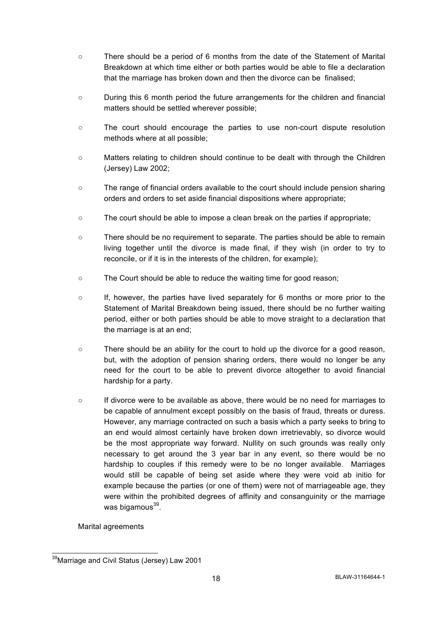- There should be a period of 6 months from the date of the Statement of Marital Breakdown at which time either or both parties would be able to file a declaration that the marriage has broken down and then the divorce can be finalised;
- During this 6 month period the future arrangements for the children and financial matters should be settled wherever possible;
- The court should encourage the parties to use non-court dispute resolution methods where at all possible;
- Matters relating to children should continue to be dealt with through the Children (Jersey) Law 2002;
- The range of financial orders available to the court should include pension sharing orders and orders to set aside financial dispositions where appropriate;
- The court should be able to impose a clean break on the parties if appropriate;
- There should be no requirement to separate. The parties should be able to remain living together until the divorce is made final, if they wish (in order to try to reconcile, or if it is in the interests of the children, for example);
- The Court should be able to reduce the waiting time for good reason;
- If, however, the parties have lived separately for 6 months or more prior to the Statement of Marital Breakdown being issued, there should be no further waiting period, either or both parties should be able to move straight to a declaration that the marriage is at an end;
- There should be an ability for the court to hold up the divorce for a good reason, but, with the adoption of pension sharing orders, there would no longer be any need for the court to be able to prevent divorce altogether to avoid financial hardship for a party.
- If divorce were to be available as above, there would be no need for marriages to be capable of annulment except possibly on the basis of fraud, threats or duress. However, any marriage contracted on such a basis which a party seeks to bring to an end would almost certainly have broken down irretrievably, so divorce would be the most appropriate way forward. Nullity on such grounds was really only necessary to get around the 3 year bar in any event, so there would be no hardship to couples if this remedy were to be no longer available. Marriages would still be capable of being set aside where they were void ab initio for example because the parties (or one of them) were not of marriageable age, they were within the prohibited degrees of affinity and consanguinity or the marriage was bigamous $^{39}$ .

Marital agreements

<sup>&</sup>lt;sup>39</sup>Marriage and Civil Status (Jersey) Law 2001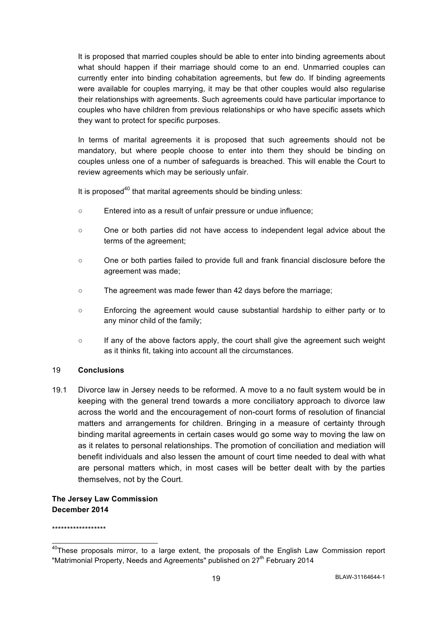It is proposed that married couples should be able to enter into binding agreements about what should happen if their marriage should come to an end. Unmarried couples can currently enter into binding cohabitation agreements, but few do. If binding agreements were available for couples marrying, it may be that other couples would also regularise their relationships with agreements. Such agreements could have particular importance to couples who have children from previous relationships or who have specific assets which they want to protect for specific purposes.

In terms of marital agreements it is proposed that such agreements should not be mandatory, but where people choose to enter into them they should be binding on couples unless one of a number of safeguards is breached. This will enable the Court to review agreements which may be seriously unfair.

It is proposed $40$  that marital agreements should be binding unless:

- Entered into as a result of unfair pressure or undue influence;
- One or both parties did not have access to independent legal advice about the terms of the agreement;
- One or both parties failed to provide full and frank financial disclosure before the agreement was made;
- The agreement was made fewer than 42 days before the marriage;
- Enforcing the agreement would cause substantial hardship to either party or to any minor child of the family;
- If any of the above factors apply, the court shall give the agreement such weight as it thinks fit, taking into account all the circumstances.

#### 19 **Conclusions**

19.1 Divorce law in Jersey needs to be reformed. A move to a no fault system would be in keeping with the general trend towards a more conciliatory approach to divorce law across the world and the encouragement of non-court forms of resolution of financial matters and arrangements for children. Bringing in a measure of certainty through binding marital agreements in certain cases would go some way to moving the law on as it relates to personal relationships. The promotion of conciliation and mediation will benefit individuals and also lessen the amount of court time needed to deal with what are personal matters which, in most cases will be better dealt with by the parties themselves, not by the Court.

# **The Jersey Law Commission December 2014**

\*\*\*\*\*\*\*\*\*\*\*\*\*\*\*\*\*\*

 $40$ These proposals mirror, to a large extent, the proposals of the English Law Commission report "Matrimonial Property, Needs and Agreements" published on  $27<sup>th</sup>$  February 2014